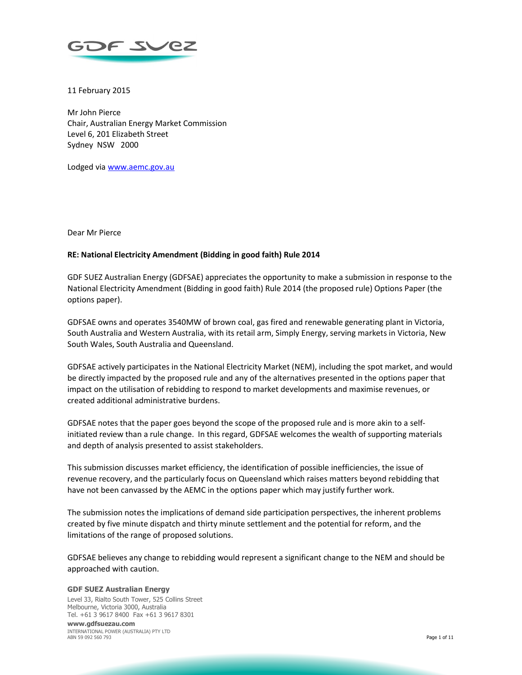

11 February 2015

Mr John Pierce Chair, Australian Energy Market Commission Level 6, 201 Elizabeth Street Sydney NSW 2000

Lodged via www.aemc.gov.au

Dear Mr Pierce

### **RE: National Electricity Amendment (Bidding in good faith) Rule 2014**

GDF SUEZ Australian Energy (GDFSAE) appreciates the opportunity to make a submission in response to the National Electricity Amendment (Bidding in good faith) Rule 2014 (the proposed rule) Options Paper (the options paper).

GDFSAE owns and operates 3540MW of brown coal, gas fired and renewable generating plant in Victoria, South Australia and Western Australia, with its retail arm, Simply Energy, serving markets in Victoria, New South Wales, South Australia and Queensland.

GDFSAE actively participates in the National Electricity Market (NEM), including the spot market, and would be directly impacted by the proposed rule and any of the alternatives presented in the options paper that impact on the utilisation of rebidding to respond to market developments and maximise revenues, or created additional administrative burdens.

GDFSAE notes that the paper goes beyond the scope of the proposed rule and is more akin to a selfinitiated review than a rule change. In this regard, GDFSAE welcomes the wealth of supporting materials and depth of analysis presented to assist stakeholders.

This submission discusses market efficiency, the identification of possible inefficiencies, the issue of revenue recovery, and the particularly focus on Queensland which raises matters beyond rebidding that have not been canvassed by the AEMC in the options paper which may justify further work.

The submission notes the implications of demand side participation perspectives, the inherent problems created by five minute dispatch and thirty minute settlement and the potential for reform, and the limitations of the range of proposed solutions.

GDFSAE believes any change to rebidding would represent a significant change to the NEM and should be approached with caution.

#### **GDF SUEZ Australian Energy**

Level 33, Rialto South Tower, 525 Collins Street Melbourne, Victoria 3000, Australia Tel. +61 3 9617 8400 Fax +61 3 9617 8301 **www.gdfsuezau.com**  INTERNATIONAL POWER (AUSTRALIA) PTY LTD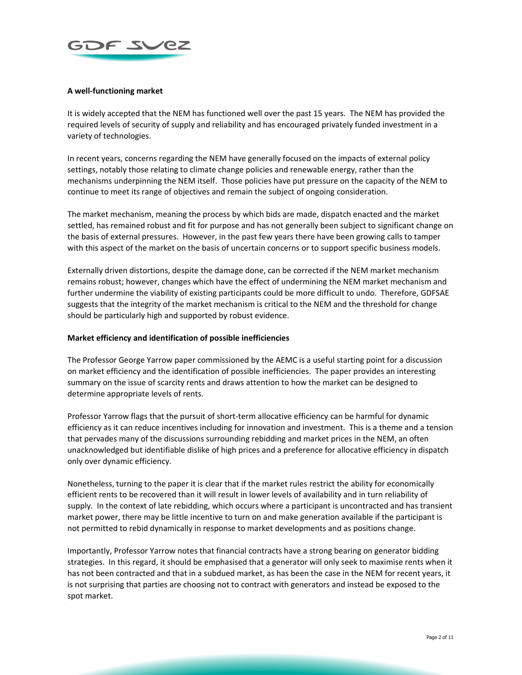

# **A well-functioning market**

It is widely accepted that the NEM has functioned well over the past 15 years. The NEM has provided the required levels of security of supply and reliability and has encouraged privately funded investment in a variety of technologies.

In recent years, concerns regarding the NEM have generally focused on the impacts of external policy settings, notably those relating to climate change policies and renewable energy, rather than the mechanisms underpinning the NEM itself. Those policies have put pressure on the capacity of the NEM to continue to meet its range of objectives and remain the subject of ongoing consideration.

The market mechanism, meaning the process by which bids are made, dispatch enacted and the market settled, has remained robust and fit for purpose and has not generally been subject to significant change on the basis of external pressures. However, in the past few years there have been growing calls to tamper with this aspect of the market on the basis of uncertain concerns or to support specific business models.

Externally driven distortions, despite the damage done, can be corrected if the NEM market mechanism remains robust; however, changes which have the effect of undermining the NEM market mechanism and further undermine the viability of existing participants could be more difficult to undo. Therefore, GDFSAE suggests that the integrity of the market mechanism is critical to the NEM and the threshold for change should be particularly high and supported by robust evidence.

## **Market efficiency and identification of possible inefficiencies**

The Professor George Yarrow paper commissioned by the AEMC is a useful starting point for a discussion on market efficiency and the identification of possible inefficiencies. The paper provides an interesting summary on the issue of scarcity rents and draws attention to how the market can be designed to determine appropriate levels of rents.

Professor Yarrow flags that the pursuit of short-term allocative efficiency can be harmful for dynamic efficiency as it can reduce incentives including for innovation and investment. This is a theme and a tension that pervades many of the discussions surrounding rebidding and market prices in the NEM, an often unacknowledged but identifiable dislike of high prices and a preference for allocative efficiency in dispatch only over dynamic efficiency.

Nonetheless, turning to the paper it is clear that if the market rules restrict the ability for economically efficient rents to be recovered than it will result in lower levels of availability and in turn reliability of supply. In the context of late rebidding, which occurs where a participant is uncontracted and has transient market power, there may be little incentive to turn on and make generation available if the participant is not permitted to rebid dynamically in response to market developments and as positions change.

Importantly, Professor Yarrow notes that financial contracts have a strong bearing on generator bidding strategies. In this regard, it should be emphasised that a generator will only seek to maximise rents when it has not been contracted and that in a subdued market, as has been the case in the NEM for recent years, it is not surprising that parties are choosing not to contract with generators and instead be exposed to the spot market.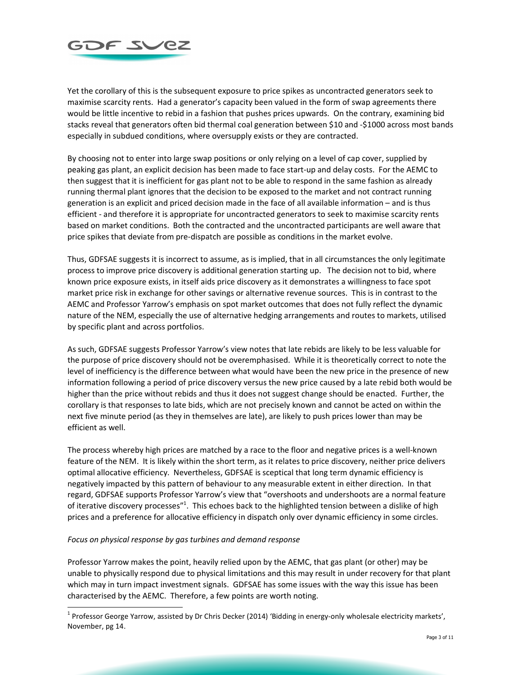

Yet the corollary of this is the subsequent exposure to price spikes as uncontracted generators seek to maximise scarcity rents. Had a generator's capacity been valued in the form of swap agreements there would be little incentive to rebid in a fashion that pushes prices upwards. On the contrary, examining bid stacks reveal that generators often bid thermal coal generation between \$10 and -\$1000 across most bands especially in subdued conditions, where oversupply exists or they are contracted.

By choosing not to enter into large swap positions or only relying on a level of cap cover, supplied by peaking gas plant, an explicit decision has been made to face start-up and delay costs. For the AEMC to then suggest that it is inefficient for gas plant not to be able to respond in the same fashion as already running thermal plant ignores that the decision to be exposed to the market and not contract running generation is an explicit and priced decision made in the face of all available information – and is thus efficient - and therefore it is appropriate for uncontracted generators to seek to maximise scarcity rents based on market conditions. Both the contracted and the uncontracted participants are well aware that price spikes that deviate from pre-dispatch are possible as conditions in the market evolve.

Thus, GDFSAE suggests it is incorrect to assume, as is implied, that in all circumstances the only legitimate process to improve price discovery is additional generation starting up. The decision not to bid, where known price exposure exists, in itself aids price discovery as it demonstrates a willingness to face spot market price risk in exchange for other savings or alternative revenue sources. This is in contrast to the AEMC and Professor Yarrow's emphasis on spot market outcomes that does not fully reflect the dynamic nature of the NEM, especially the use of alternative hedging arrangements and routes to markets, utilised by specific plant and across portfolios.

As such, GDFSAE suggests Professor Yarrow's view notes that late rebids are likely to be less valuable for the purpose of price discovery should not be overemphasised. While it is theoretically correct to note the level of inefficiency is the difference between what would have been the new price in the presence of new information following a period of price discovery versus the new price caused by a late rebid both would be higher than the price without rebids and thus it does not suggest change should be enacted. Further, the corollary is that responses to late bids, which are not precisely known and cannot be acted on within the next five minute period (as they in themselves are late), are likely to push prices lower than may be efficient as well.

The process whereby high prices are matched by a race to the floor and negative prices is a well-known feature of the NEM. It is likely within the short term, as it relates to price discovery, neither price delivers optimal allocative efficiency. Nevertheless, GDFSAE is sceptical that long term dynamic efficiency is negatively impacted by this pattern of behaviour to any measurable extent in either direction. In that regard, GDFSAE supports Professor Yarrow's view that "overshoots and undershoots are a normal feature of iterative discovery processes"<sup>1</sup>. This echoes back to the highlighted tension between a dislike of high prices and a preference for allocative efficiency in dispatch only over dynamic efficiency in some circles.

### *Focus on physical response by gas turbines and demand response*

Professor Yarrow makes the point, heavily relied upon by the AEMC, that gas plant (or other) may be unable to physically respond due to physical limitations and this may result in under recovery for that plant which may in turn impact investment signals. GDFSAE has some issues with the way this issue has been characterised by the AEMC. Therefore, a few points are worth noting.

 1 Professor George Yarrow, assisted by Dr Chris Decker (2014) 'Bidding in energy-only wholesale electricity markets', November, pg 14.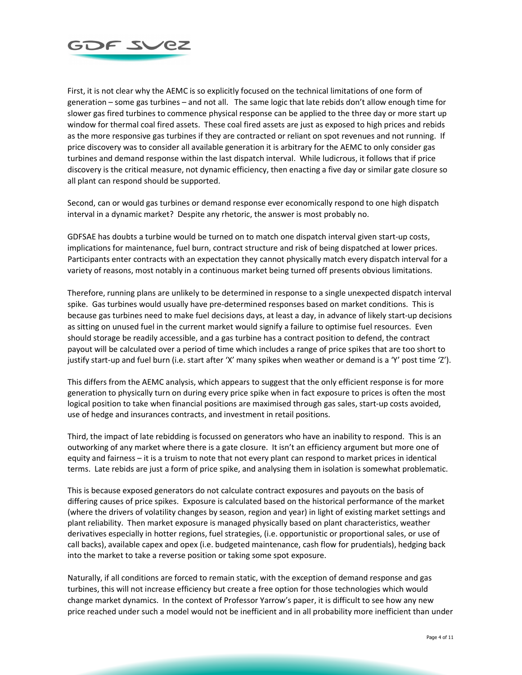

First, it is not clear why the AEMC is so explicitly focused on the technical limitations of one form of generation – some gas turbines – and not all. The same logic that late rebids don't allow enough time for slower gas fired turbines to commence physical response can be applied to the three day or more start up window for thermal coal fired assets. These coal fired assets are just as exposed to high prices and rebids as the more responsive gas turbines if they are contracted or reliant on spot revenues and not running. If price discovery was to consider all available generation it is arbitrary for the AEMC to only consider gas turbines and demand response within the last dispatch interval. While ludicrous, it follows that if price discovery is the critical measure, not dynamic efficiency, then enacting a five day or similar gate closure so all plant can respond should be supported.

Second, can or would gas turbines or demand response ever economically respond to one high dispatch interval in a dynamic market? Despite any rhetoric, the answer is most probably no.

GDFSAE has doubts a turbine would be turned on to match one dispatch interval given start-up costs, implications for maintenance, fuel burn, contract structure and risk of being dispatched at lower prices. Participants enter contracts with an expectation they cannot physically match every dispatch interval for a variety of reasons, most notably in a continuous market being turned off presents obvious limitations.

Therefore, running plans are unlikely to be determined in response to a single unexpected dispatch interval spike. Gas turbines would usually have pre-determined responses based on market conditions. This is because gas turbines need to make fuel decisions days, at least a day, in advance of likely start-up decisions as sitting on unused fuel in the current market would signify a failure to optimise fuel resources. Even should storage be readily accessible, and a gas turbine has a contract position to defend, the contract payout will be calculated over a period of time which includes a range of price spikes that are too short to justify start-up and fuel burn (i.e. start after 'X' many spikes when weather or demand is a 'Y' post time 'Z').

This differs from the AEMC analysis, which appears to suggest that the only efficient response is for more generation to physically turn on during every price spike when in fact exposure to prices is often the most logical position to take when financial positions are maximised through gas sales, start-up costs avoided, use of hedge and insurances contracts, and investment in retail positions.

Third, the impact of late rebidding is focussed on generators who have an inability to respond. This is an outworking of any market where there is a gate closure. It isn't an efficiency argument but more one of equity and fairness – it is a truism to note that not every plant can respond to market prices in identical terms. Late rebids are just a form of price spike, and analysing them in isolation is somewhat problematic.

This is because exposed generators do not calculate contract exposures and payouts on the basis of differing causes of price spikes. Exposure is calculated based on the historical performance of the market (where the drivers of volatility changes by season, region and year) in light of existing market settings and plant reliability. Then market exposure is managed physically based on plant characteristics, weather derivatives especially in hotter regions, fuel strategies, (i.e. opportunistic or proportional sales, or use of call backs), available capex and opex (i.e. budgeted maintenance, cash flow for prudentials), hedging back into the market to take a reverse position or taking some spot exposure.

Naturally, if all conditions are forced to remain static, with the exception of demand response and gas turbines, this will not increase efficiency but create a free option for those technologies which would change market dynamics. In the context of Professor Yarrow's paper, it is difficult to see how any new price reached under such a model would not be inefficient and in all probability more inefficient than under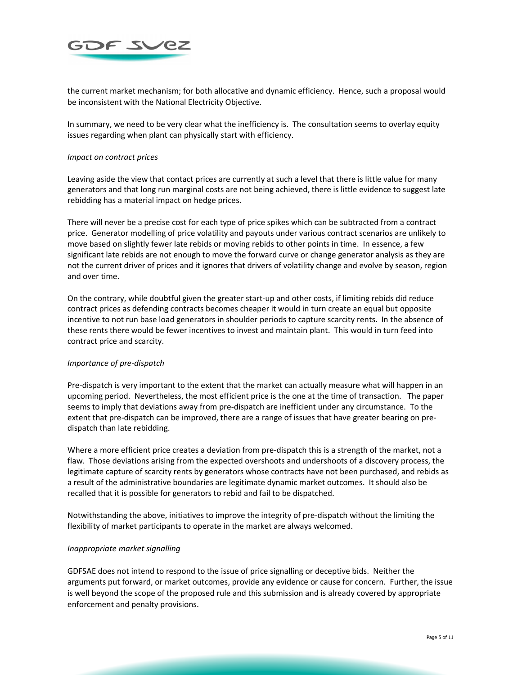

the current market mechanism; for both allocative and dynamic efficiency. Hence, such a proposal would be inconsistent with the National Electricity Objective.

In summary, we need to be very clear what the inefficiency is. The consultation seems to overlay equity issues regarding when plant can physically start with efficiency.

### *Impact on contract prices*

Leaving aside the view that contact prices are currently at such a level that there is little value for many generators and that long run marginal costs are not being achieved, there is little evidence to suggest late rebidding has a material impact on hedge prices.

There will never be a precise cost for each type of price spikes which can be subtracted from a contract price. Generator modelling of price volatility and payouts under various contract scenarios are unlikely to move based on slightly fewer late rebids or moving rebids to other points in time. In essence, a few significant late rebids are not enough to move the forward curve or change generator analysis as they are not the current driver of prices and it ignores that drivers of volatility change and evolve by season, region and over time.

On the contrary, while doubtful given the greater start-up and other costs, if limiting rebids did reduce contract prices as defending contracts becomes cheaper it would in turn create an equal but opposite incentive to not run base load generators in shoulder periods to capture scarcity rents. In the absence of these rents there would be fewer incentives to invest and maintain plant. This would in turn feed into contract price and scarcity.

### *Importance of pre-dispatch*

Pre-dispatch is very important to the extent that the market can actually measure what will happen in an upcoming period. Nevertheless, the most efficient price is the one at the time of transaction. The paper seems to imply that deviations away from pre-dispatch are inefficient under any circumstance. To the extent that pre-dispatch can be improved, there are a range of issues that have greater bearing on predispatch than late rebidding.

Where a more efficient price creates a deviation from pre-dispatch this is a strength of the market, not a flaw. Those deviations arising from the expected overshoots and undershoots of a discovery process, the legitimate capture of scarcity rents by generators whose contracts have not been purchased, and rebids as a result of the administrative boundaries are legitimate dynamic market outcomes. It should also be recalled that it is possible for generators to rebid and fail to be dispatched.

Notwithstanding the above, initiatives to improve the integrity of pre-dispatch without the limiting the flexibility of market participants to operate in the market are always welcomed.

#### *Inappropriate market signalling*

GDFSAE does not intend to respond to the issue of price signalling or deceptive bids. Neither the arguments put forward, or market outcomes, provide any evidence or cause for concern. Further, the issue is well beyond the scope of the proposed rule and this submission and is already covered by appropriate enforcement and penalty provisions.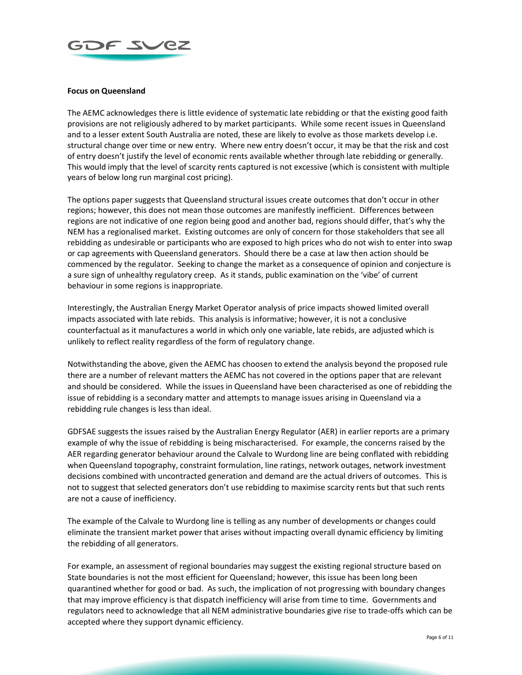

# **Focus on Queensland**

The AEMC acknowledges there is little evidence of systematic late rebidding or that the existing good faith provisions are not religiously adhered to by market participants. While some recent issues in Queensland and to a lesser extent South Australia are noted, these are likely to evolve as those markets develop i.e. structural change over time or new entry. Where new entry doesn't occur, it may be that the risk and cost of entry doesn't justify the level of economic rents available whether through late rebidding or generally. This would imply that the level of scarcity rents captured is not excessive (which is consistent with multiple years of below long run marginal cost pricing).

The options paper suggests that Queensland structural issues create outcomes that don't occur in other regions; however, this does not mean those outcomes are manifestly inefficient. Differences between regions are not indicative of one region being good and another bad, regions should differ, that's why the NEM has a regionalised market. Existing outcomes are only of concern for those stakeholders that see all rebidding as undesirable or participants who are exposed to high prices who do not wish to enter into swap or cap agreements with Queensland generators. Should there be a case at law then action should be commenced by the regulator. Seeking to change the market as a consequence of opinion and conjecture is a sure sign of unhealthy regulatory creep. As it stands, public examination on the 'vibe' of current behaviour in some regions is inappropriate.

Interestingly, the Australian Energy Market Operator analysis of price impacts showed limited overall impacts associated with late rebids. This analysis is informative; however, it is not a conclusive counterfactual as it manufactures a world in which only one variable, late rebids, are adjusted which is unlikely to reflect reality regardless of the form of regulatory change.

Notwithstanding the above, given the AEMC has choosen to extend the analysis beyond the proposed rule there are a number of relevant matters the AEMC has not covered in the options paper that are relevant and should be considered. While the issues in Queensland have been characterised as one of rebidding the issue of rebidding is a secondary matter and attempts to manage issues arising in Queensland via a rebidding rule changes is less than ideal.

GDFSAE suggests the issues raised by the Australian Energy Regulator (AER) in earlier reports are a primary example of why the issue of rebidding is being mischaracterised. For example, the concerns raised by the AER regarding generator behaviour around the Calvale to Wurdong line are being conflated with rebidding when Queensland topography, constraint formulation, line ratings, network outages, network investment decisions combined with uncontracted generation and demand are the actual drivers of outcomes. This is not to suggest that selected generators don't use rebidding to maximise scarcity rents but that such rents are not a cause of inefficiency.

The example of the Calvale to Wurdong line is telling as any number of developments or changes could eliminate the transient market power that arises without impacting overall dynamic efficiency by limiting the rebidding of all generators.

For example, an assessment of regional boundaries may suggest the existing regional structure based on State boundaries is not the most efficient for Queensland; however, this issue has been long been quarantined whether for good or bad. As such, the implication of not progressing with boundary changes that may improve efficiency is that dispatch inefficiency will arise from time to time. Governments and regulators need to acknowledge that all NEM administrative boundaries give rise to trade-offs which can be accepted where they support dynamic efficiency.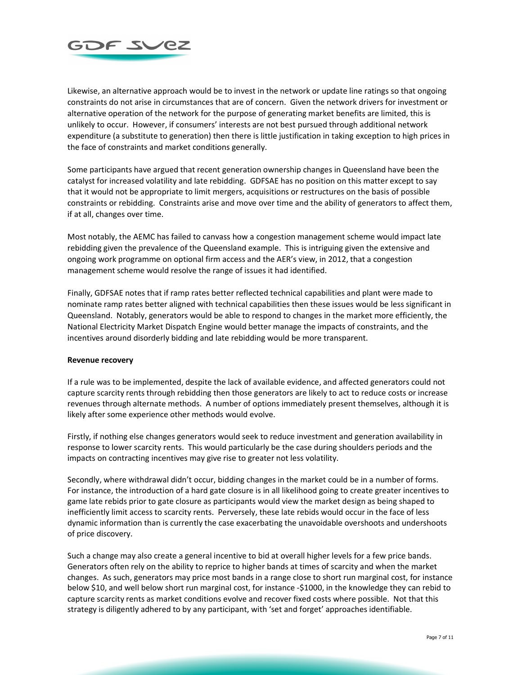

Likewise, an alternative approach would be to invest in the network or update line ratings so that ongoing constraints do not arise in circumstances that are of concern. Given the network drivers for investment or alternative operation of the network for the purpose of generating market benefits are limited, this is unlikely to occur. However, if consumers' interests are not best pursued through additional network expenditure (a substitute to generation) then there is little justification in taking exception to high prices in the face of constraints and market conditions generally.

Some participants have argued that recent generation ownership changes in Queensland have been the catalyst for increased volatility and late rebidding. GDFSAE has no position on this matter except to say that it would not be appropriate to limit mergers, acquisitions or restructures on the basis of possible constraints or rebidding. Constraints arise and move over time and the ability of generators to affect them, if at all, changes over time.

Most notably, the AEMC has failed to canvass how a congestion management scheme would impact late rebidding given the prevalence of the Queensland example. This is intriguing given the extensive and ongoing work programme on optional firm access and the AER's view, in 2012, that a congestion management scheme would resolve the range of issues it had identified.

Finally, GDFSAE notes that if ramp rates better reflected technical capabilities and plant were made to nominate ramp rates better aligned with technical capabilities then these issues would be less significant in Queensland. Notably, generators would be able to respond to changes in the market more efficiently, the National Electricity Market Dispatch Engine would better manage the impacts of constraints, and the incentives around disorderly bidding and late rebidding would be more transparent.

### **Revenue recovery**

If a rule was to be implemented, despite the lack of available evidence, and affected generators could not capture scarcity rents through rebidding then those generators are likely to act to reduce costs or increase revenues through alternate methods. A number of options immediately present themselves, although it is likely after some experience other methods would evolve.

Firstly, if nothing else changes generators would seek to reduce investment and generation availability in response to lower scarcity rents. This would particularly be the case during shoulders periods and the impacts on contracting incentives may give rise to greater not less volatility.

Secondly, where withdrawal didn't occur, bidding changes in the market could be in a number of forms. For instance, the introduction of a hard gate closure is in all likelihood going to create greater incentives to game late rebids prior to gate closure as participants would view the market design as being shaped to inefficiently limit access to scarcity rents. Perversely, these late rebids would occur in the face of less dynamic information than is currently the case exacerbating the unavoidable overshoots and undershoots of price discovery.

Such a change may also create a general incentive to bid at overall higher levels for a few price bands. Generators often rely on the ability to reprice to higher bands at times of scarcity and when the market changes. As such, generators may price most bands in a range close to short run marginal cost, for instance below \$10, and well below short run marginal cost, for instance -\$1000, in the knowledge they can rebid to capture scarcity rents as market conditions evolve and recover fixed costs where possible. Not that this strategy is diligently adhered to by any participant, with 'set and forget' approaches identifiable.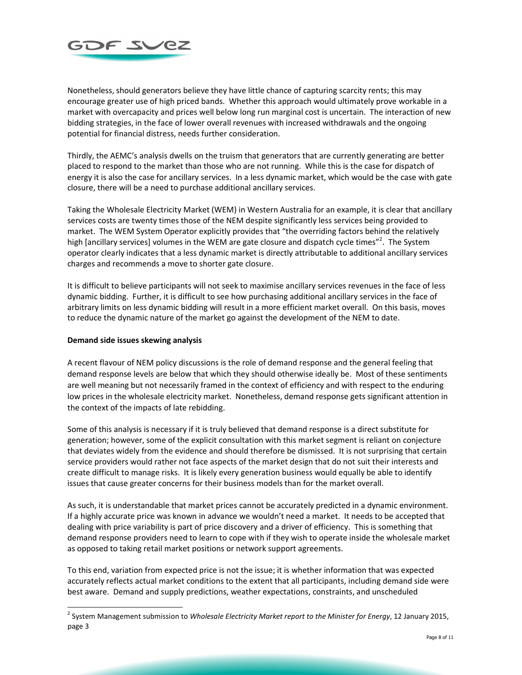

Nonetheless, should generators believe they have little chance of capturing scarcity rents; this may encourage greater use of high priced bands. Whether this approach would ultimately prove workable in a market with overcapacity and prices well below long run marginal cost is uncertain. The interaction of new bidding strategies, in the face of lower overall revenues with increased withdrawals and the ongoing potential for financial distress, needs further consideration.

Thirdly, the AEMC's analysis dwells on the truism that generators that are currently generating are better placed to respond to the market than those who are not running. While this is the case for dispatch of energy it is also the case for ancillary services. In a less dynamic market, which would be the case with gate closure, there will be a need to purchase additional ancillary services.

Taking the Wholesale Electricity Market (WEM) in Western Australia for an example, it is clear that ancillary services costs are twenty times those of the NEM despite significantly less services being provided to market. The WEM System Operator explicitly provides that "the overriding factors behind the relatively high [ancillary services] volumes in the WEM are gate closure and dispatch cycle times"<sup>2</sup>. The System operator clearly indicates that a less dynamic market is directly attributable to additional ancillary services charges and recommends a move to shorter gate closure.

It is difficult to believe participants will not seek to maximise ancillary services revenues in the face of less dynamic bidding. Further, it is difficult to see how purchasing additional ancillary services in the face of arbitrary limits on less dynamic bidding will result in a more efficient market overall. On this basis, moves to reduce the dynamic nature of the market go against the development of the NEM to date.

## **Demand side issues skewing analysis**

A recent flavour of NEM policy discussions is the role of demand response and the general feeling that demand response levels are below that which they should otherwise ideally be. Most of these sentiments are well meaning but not necessarily framed in the context of efficiency and with respect to the enduring low prices in the wholesale electricity market. Nonetheless, demand response gets significant attention in the context of the impacts of late rebidding.

Some of this analysis is necessary if it is truly believed that demand response is a direct substitute for generation; however, some of the explicit consultation with this market segment is reliant on conjecture that deviates widely from the evidence and should therefore be dismissed. It is not surprising that certain service providers would rather not face aspects of the market design that do not suit their interests and create difficult to manage risks. It is likely every generation business would equally be able to identify issues that cause greater concerns for their business models than for the market overall.

As such, it is understandable that market prices cannot be accurately predicted in a dynamic environment. If a highly accurate price was known in advance we wouldn't need a market. It needs to be accepted that dealing with price variability is part of price discovery and a driver of efficiency. This is something that demand response providers need to learn to cope with if they wish to operate inside the wholesale market as opposed to taking retail market positions or network support agreements.

To this end, variation from expected price is not the issue; it is whether information that was expected accurately reflects actual market conditions to the extent that all participants, including demand side were best aware. Demand and supply predictions, weather expectations, constraints, and unscheduled

 2 System Management submission to *Wholesale Electricity Market report to the Minister for Energy*, 12 January 2015, page 3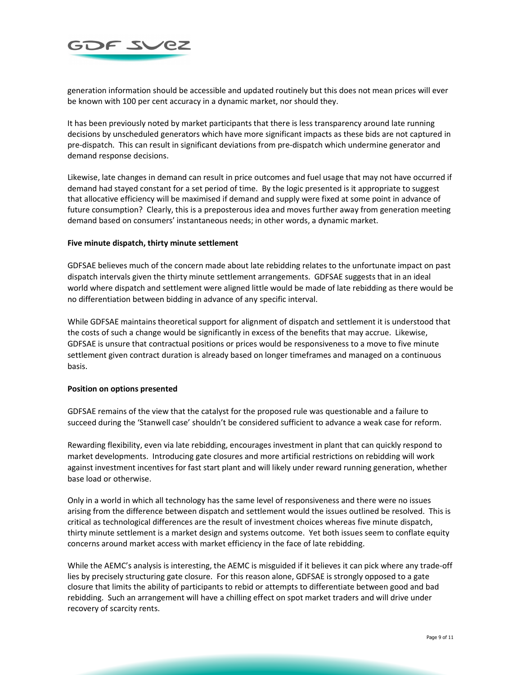

generation information should be accessible and updated routinely but this does not mean prices will ever be known with 100 per cent accuracy in a dynamic market, nor should they.

It has been previously noted by market participants that there is less transparency around late running decisions by unscheduled generators which have more significant impacts as these bids are not captured in pre-dispatch. This can result in significant deviations from pre-dispatch which undermine generator and demand response decisions.

Likewise, late changes in demand can result in price outcomes and fuel usage that may not have occurred if demand had stayed constant for a set period of time. By the logic presented is it appropriate to suggest that allocative efficiency will be maximised if demand and supply were fixed at some point in advance of future consumption? Clearly, this is a preposterous idea and moves further away from generation meeting demand based on consumers' instantaneous needs; in other words, a dynamic market.

### **Five minute dispatch, thirty minute settlement**

GDFSAE believes much of the concern made about late rebidding relates to the unfortunate impact on past dispatch intervals given the thirty minute settlement arrangements. GDFSAE suggests that in an ideal world where dispatch and settlement were aligned little would be made of late rebidding as there would be no differentiation between bidding in advance of any specific interval.

While GDFSAE maintains theoretical support for alignment of dispatch and settlement it is understood that the costs of such a change would be significantly in excess of the benefits that may accrue. Likewise, GDFSAE is unsure that contractual positions or prices would be responsiveness to a move to five minute settlement given contract duration is already based on longer timeframes and managed on a continuous basis.

### **Position on options presented**

GDFSAE remains of the view that the catalyst for the proposed rule was questionable and a failure to succeed during the 'Stanwell case' shouldn't be considered sufficient to advance a weak case for reform.

Rewarding flexibility, even via late rebidding, encourages investment in plant that can quickly respond to market developments. Introducing gate closures and more artificial restrictions on rebidding will work against investment incentives for fast start plant and will likely under reward running generation, whether base load or otherwise.

Only in a world in which all technology has the same level of responsiveness and there were no issues arising from the difference between dispatch and settlement would the issues outlined be resolved. This is critical as technological differences are the result of investment choices whereas five minute dispatch, thirty minute settlement is a market design and systems outcome. Yet both issues seem to conflate equity concerns around market access with market efficiency in the face of late rebidding.

While the AEMC's analysis is interesting, the AEMC is misguided if it believes it can pick where any trade-off lies by precisely structuring gate closure. For this reason alone, GDFSAE is strongly opposed to a gate closure that limits the ability of participants to rebid or attempts to differentiate between good and bad rebidding. Such an arrangement will have a chilling effect on spot market traders and will drive under recovery of scarcity rents.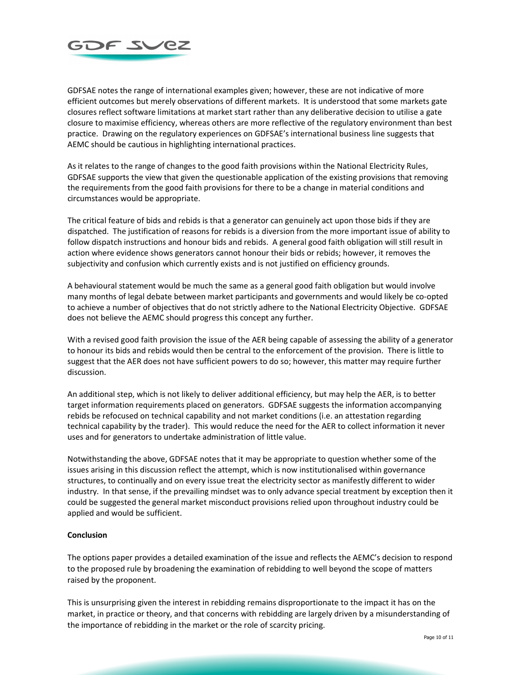

GDFSAE notes the range of international examples given; however, these are not indicative of more efficient outcomes but merely observations of different markets. It is understood that some markets gate closures reflect software limitations at market start rather than any deliberative decision to utilise a gate closure to maximise efficiency, whereas others are more reflective of the regulatory environment than best practice. Drawing on the regulatory experiences on GDFSAE's international business line suggests that AEMC should be cautious in highlighting international practices.

As it relates to the range of changes to the good faith provisions within the National Electricity Rules, GDFSAE supports the view that given the questionable application of the existing provisions that removing the requirements from the good faith provisions for there to be a change in material conditions and circumstances would be appropriate.

The critical feature of bids and rebids is that a generator can genuinely act upon those bids if they are dispatched. The justification of reasons for rebids is a diversion from the more important issue of ability to follow dispatch instructions and honour bids and rebids. A general good faith obligation will still result in action where evidence shows generators cannot honour their bids or rebids; however, it removes the subjectivity and confusion which currently exists and is not justified on efficiency grounds.

A behavioural statement would be much the same as a general good faith obligation but would involve many months of legal debate between market participants and governments and would likely be co-opted to achieve a number of objectives that do not strictly adhere to the National Electricity Objective. GDFSAE does not believe the AEMC should progress this concept any further.

With a revised good faith provision the issue of the AER being capable of assessing the ability of a generator to honour its bids and rebids would then be central to the enforcement of the provision. There is little to suggest that the AER does not have sufficient powers to do so; however, this matter may require further discussion.

An additional step, which is not likely to deliver additional efficiency, but may help the AER, is to better target information requirements placed on generators. GDFSAE suggests the information accompanying rebids be refocused on technical capability and not market conditions (i.e. an attestation regarding technical capability by the trader). This would reduce the need for the AER to collect information it never uses and for generators to undertake administration of little value.

Notwithstanding the above, GDFSAE notes that it may be appropriate to question whether some of the issues arising in this discussion reflect the attempt, which is now institutionalised within governance structures, to continually and on every issue treat the electricity sector as manifestly different to wider industry. In that sense, if the prevailing mindset was to only advance special treatment by exception then it could be suggested the general market misconduct provisions relied upon throughout industry could be applied and would be sufficient.

### **Conclusion**

The options paper provides a detailed examination of the issue and reflects the AEMC's decision to respond to the proposed rule by broadening the examination of rebidding to well beyond the scope of matters raised by the proponent.

This is unsurprising given the interest in rebidding remains disproportionate to the impact it has on the market, in practice or theory, and that concerns with rebidding are largely driven by a misunderstanding of the importance of rebidding in the market or the role of scarcity pricing.